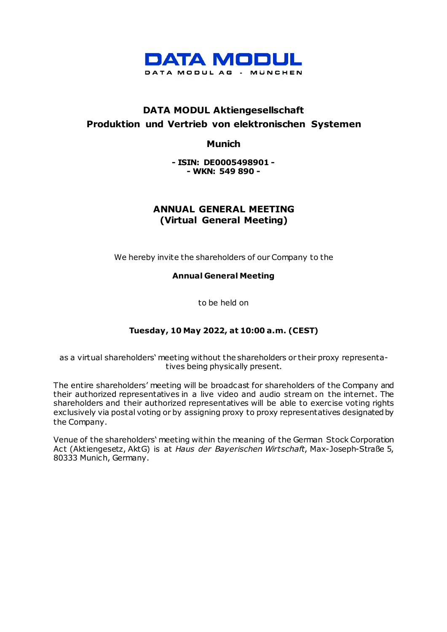

# **DATA MODUL Aktiengesellschaft Produktion und Vertrieb von elektronischen Systemen**

**Munich**

**- ISIN: DE0005498901 - - WKN: 549 890 -**

# **ANNUAL GENERAL MEETING (Virtual General Meeting)**

We hereby invite the shareholders of our Company to the

**Annual General Meeting**

to be held on

# **Tuesday, 10 May 2022, at 10:00 a.m. (CEST)**

as a virtual shareholders' meeting without the shareholders or their proxy representatives being physically present.

The entire shareholders' meeting will be broadcast for shareholders of the Company and their authorized representatives in a live video and audio stream on the internet. The shareholders and their authorized representatives will be able to exercise voting rights exclusively via postal voting or by assigning proxy to proxy representatives designated by the Company.

Venue of the shareholders' meeting within the meaning of the German Stock Corporation Act (Aktiengesetz, AktG) is at *Haus der Bayerischen Wirtschaft*, Max-Joseph-Straße 5, 80333 Munich, Germany.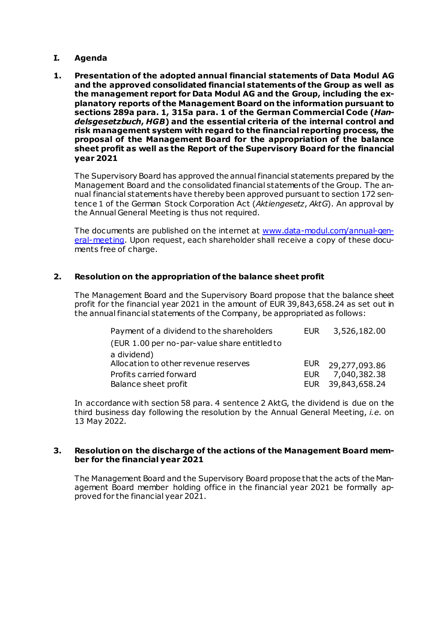### **I. Agenda**

**1. Presentation of the adopted annual financial statements of Data Modul AG and the approved consolidated financial statements of the Group as well as the management report for Data Modul AG and the Group, including the explanatory reports of the Management Board on the information pursuant to sections 289a para. 1, 315a para. 1 of the German Commercial Code (***Handelsgesetzbuch***,** *HGB***) and the essential criteria of the internal control and risk management system with regard to the financial reporting process, the proposal of the Management Board for the appropriation of the balance sheet profit as well as the Report of the Supervisory Board for the financial year 2021**

The Supervisory Board has approved the annual financial statements prepared by the Management Board and the consolidated financial statements of the Group. The annual financial statements have thereby been approved pursuant to section 172 sentence 1 of the German Stock Corporation Act (*Aktiengesetz*, *AktG*). An approval by the Annual General Meeting is thus not required.

The documents are published on the internet at [www.data-modul.com/annual-gen](http://www.data-modul.com/annual-general-meeting)[eral-meeting.](http://www.data-modul.com/annual-general-meeting) Upon request, each shareholder shall receive a copy of these documents free of charge.

#### **2. Resolution on the appropriation of the balance sheet profit**

The Management Board and the Supervisory Board propose that the balance sheet profit for the financial year 2021 in the amount of EUR 39,843,658.24 as set out in the annual financial statements of the Company, be appropriated as follows:

| Payment of a dividend to the shareholders    | EUR | 3,526,182.00      |
|----------------------------------------------|-----|-------------------|
| (EUR 1.00 per no-par-value share entitled to |     |                   |
| a dividend)                                  |     |                   |
| Allocation to other revenue reserves         |     | EUR 29,277,093.86 |
| Profits carried forward                      |     | EUR 7,040,382.38  |
| Balance sheet profit                         |     | EUR 39,843,658.24 |

In accordance with section 58 para. 4 sentence 2 AktG, the dividend is due on the third business day following the resolution by the Annual General Meeting, *i.e.* on 13 May 2022.

#### **3. Resolution on the discharge of the actions of the Management Board member for the financial year 2021**

The Management Board and the Supervisory Board propose that the acts of the Management Board member holding office in the financial year 2021 be formally approved for the financial year 2021.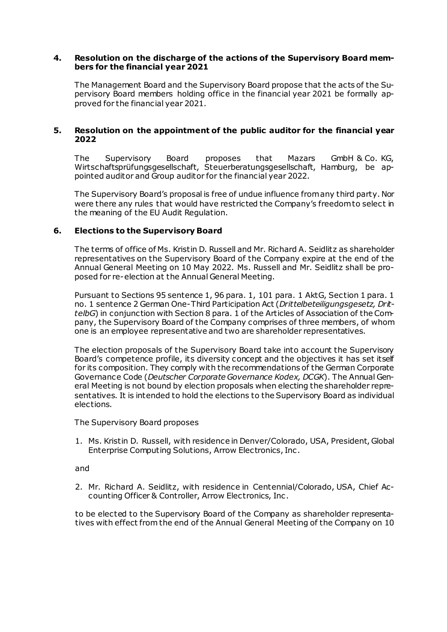#### **4. Resolution on the discharge of the actions of the Supervisory Board members for the financial year 2021**

The Management Board and the Supervisory Board propose that the acts of the Supervisory Board members holding office in the financial year 2021 be formally approved for the financial year 2021.

#### **5. Resolution on the appointment of the public auditor for the financial year 2022**

The Supervisory Board proposes that Mazars GmbH & Co. KG, Wirtschaftsprüfungsgesellschaft, Steuerberatungsgesellschaft, Hamburg, be appointed auditor and Group auditor for the financial year 2022.

The Supervisory Board's proposal is free of undue influence from any third party. Nor were there any rules that would have restricted the Company's freedom to select in the meaning of the EU Audit Regulation.

### **6. Elections to the Supervisory Board**

The terms of office of Ms. Kristin D. Russell and Mr. Richard A. Seidlitz as shareholder representatives on the Supervisory Board of the Company expire at the end of the Annual General Meeting on 10 May 2022. Ms. Russell and Mr. Seidlitz shall be proposed for re-election at the Annual General Meeting.

Pursuant to Sections 95 sentence 1, 96 para. 1, 101 para. 1 AktG, Section 1 para. 1 no. 1 sentence 2 German One-Third Participation Act (*Drittelbeteiligungsgesetz, DrittelbG*) in conjunction with Section 8 para. 1 of the Articles of Association of the Company, the Supervisory Board of the Company comprises of three members, of whom one is an employee representative and two are shareholder representatives.

The election proposals of the Supervisory Board take into account the Supervisory Board's competence profile, its diversity concept and the objectives it has set itself for its composition. They comply with the recommendations of the German Corporate Governance Code (*Deutscher Corporate Governance Kodex, DCGK*). The Annual General Meeting is not bound by election proposals when electing the shareholder representatives. It is intended to hold the elections to the Supervisory Board as individual elections.

The Supervisory Board proposes

1. Ms. Kristin D. Russell, with residence in Denver/Colorado, USA, President, Global Enterprise Computing Solutions, Arrow Electronics, Inc .

and

2. Mr. Richard A. Seidlitz, with residence in Centennial/Colorado, USA, Chief Accounting Officer & Controller, Arrow Electronics, Inc .

to be elected to the Supervisory Board of the Company as shareholder representatives with effect from the end of the Annual General Meeting of the Company on 10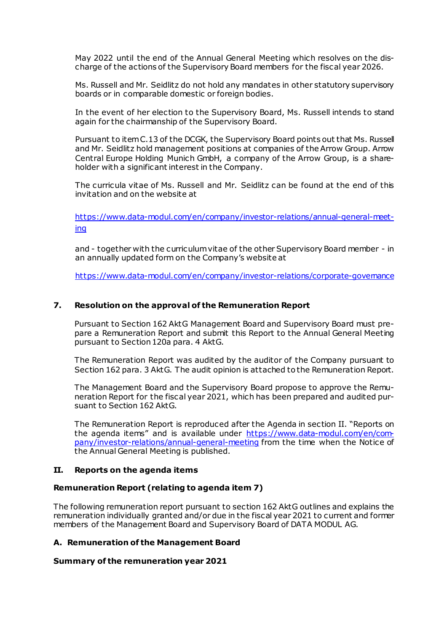May 2022 until the end of the Annual General Meeting which resolves on the discharge of the actions of the Supervisory Board members for the fiscal year 2026.

Ms. Russell and Mr. Seidlitz do not hold any mandates in other statutory supervisory boards or in comparable domestic or foreign bodies.

In the event of her election to the Supervisory Board, Ms. Russell intends to stand again for the chairmanship of the Supervisory Board.

Pursuant to item C.13 of the DCGK, the Supervisory Board points out that Ms. Russell and Mr. Seidlitz hold management positions at companies of the Arrow Group. Arrow Central Europe Holding Munich GmbH, a company of the Arrow Group, is a shareholder with a significant interest in the Company.

The curricula vitae of Ms. Russell and Mr. Seidlitz can be found at the end of this invitation and on the website at

[https://www.data-modul.com/en/company/investor-relations/annual-general-meet](https://www.data-modul.com/en/company/investor-relations/annual-general-meeting)[ing](https://www.data-modul.com/en/company/investor-relations/annual-general-meeting)

and - together with the curriculumvitae of the other Supervisory Board member - in an annually updated form on the Company's website at

<https://www.data-modul.com/en/company/investor-relations/corporate-governance>

#### **7. Resolution on the approval of the Remuneration Report**

Pursuant to Section 162 AktG Management Board and Supervisory Board must prepare a Remuneration Report and submit this Report to the Annual General Meeting pursuant to Section 120a para. 4 AktG.

The Remuneration Report was audited by the auditor of the Company pursuant to Section 162 para. 3 AktG. The audit opinion is attached to the Remuneration Report.

 The Management Board and the Supervisory Board propose to approve the Remuneration Report for the fiscal year 2021, which has been prepared and audited pursuant to Section 162 AktG.

 The Remuneration Report is reproduced after the Agenda in section II. "Reports on the agenda items" and is available under [https://www.data-modul.com/en/com](https://www.data-modul.com/en/company/investor-relations/annual-general-meeting)[pany/investor-relations/annual-general-meeting](https://www.data-modul.com/en/company/investor-relations/annual-general-meeting) from the time when the Notice of the Annual General Meeting is published.

#### **II. Reports on the agenda items**

#### **Remuneration Report (relating to agenda item 7)**

The following remuneration report pursuant to section 162 AktG outlines and explains the remuneration individually granted and/or due in the fiscal year 2021 to current and former members of the Management Board and Supervisory Board of DATA MODUL AG.

### **A. Remuneration of the Management Board**

#### **Summary of the remuneration year 2021**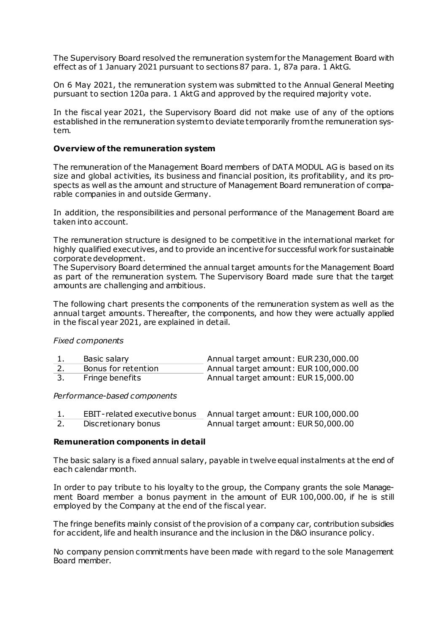The Supervisory Board resolved the remuneration system for the Management Board with effect as of 1 January 2021 pursuant to sections 87 para. 1, 87a para. 1 AktG.

On 6 May 2021, the remuneration system was submitted to the Annual General Meeting pursuant to section 120a para. 1 AktG and approved by the required majority vote.

In the fiscal year 2021, the Supervisory Board did not make use of any of the options established in the remuneration system to deviate temporarily from the remuneration system.

#### **Overview of the remuneration system**

The remuneration of the Management Board members of DATA MODUL AG is based on its size and global activities, its business and financial position, its profitability, and its prospects as well as the amount and structure of Management Board remuneration of comparable companies in and outside Germany.

In addition, the responsibilities and personal performance of the Management Board are taken into account.

The remuneration structure is designed to be competitive in the international market for highly qualified executives, and to provide an incentive for successful work for sustainable corporate development.

The Supervisory Board determined the annual target amounts for the Management Board as part of the remuneration system. The Supervisory Board made sure that the target amounts are challenging and ambitious.

The following chart presents the components of the remuneration system as well as the annual target amounts. Thereafter, the components, and how they were actually applied in the fiscal year 2021, are explained in detail.

#### *Fixed components*

| Basic salary        | Annual target amount: EUR 230,000.00 |
|---------------------|--------------------------------------|
| Bonus for retention | Annual target amount: EUR 100,000.00 |
| Fringe benefits     | Annual target amount: EUR 15,000.00  |

#### *Performance-based components*

| EBIT-related executive bonus | Annual target amount: EUR 100,000.00 |
|------------------------------|--------------------------------------|
| Discretionary bonus          | Annual target amount: EUR 50,000.00  |

#### **Remuneration components in detail**

The basic salary is a fixed annual salary, payable in twelve equal instalments at the end of each calendar month.

In order to pay tribute to his loyalty to the group, the Company grants the sole Management Board member a bonus payment in the amount of EUR 100,000.00, if he is still employed by the Company at the end of the fiscal year.

The fringe benefits mainly consist of the provision of a company car, contribution subsidies for accident, life and health insurance and the inclusion in the D&O insurance policy.

No company pension commitments have been made with regard to the sole Management Board member.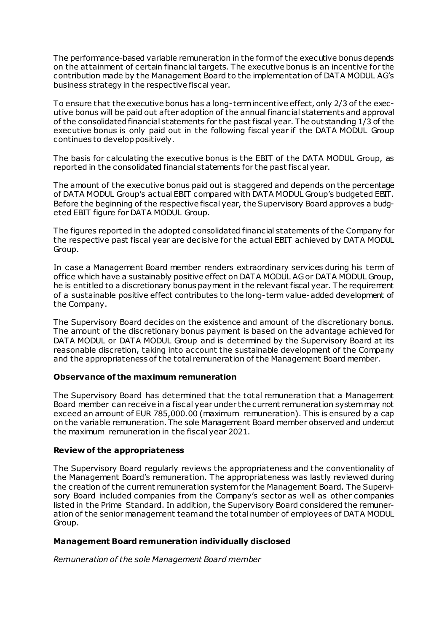The performance-based variable remuneration in the form of the executive bonus depends on the attainment of certain financial targets. The executive bonus is an incentive for the contribution made by the Management Board to the implementation of DATA MODUL AG's business strategy in the respective fiscal year.

To ensure that the executive bonus has a long-term incentive effect, only 2/3 of the executive bonus will be paid out after adoption of the annual financial statements and approval of the consolidated financial statements for the past fiscal year. The outstanding 1/3 of the executive bonus is only paid out in the following fiscal year if the DATA MODUL Group continues to develop positively.

The basis for calculating the executive bonus is the EBIT of the DATA MODUL Group, as reported in the consolidated financial statements for the past fiscal year.

The amount of the executive bonus paid out is staggered and depends on the percentage of DATA MODUL Group's actual EBIT compared with DATA MODUL Group's budgeted EBIT. Before the beginning of the respective fiscal year, the Supervisory Board approves a budgeted EBIT figure for DATA MODUL Group.

The figures reported in the adopted consolidated financial statements of the Company for the respective past fiscal year are decisive for the actual EBIT achieved by DATA MODUL Group.

In case a Management Board member renders extraordinary services during his term of office which have a sustainably positive effect on DATA MODUL AG or DATA MODUL Group, he is entitled to a discretionary bonus payment in the relevant fiscal year. The requirement of a sustainable positive effect contributes to the long-term value-added development of the Company.

The Supervisory Board decides on the existence and amount of the discretionary bonus. The amount of the discretionary bonus payment is based on the advantage achieved for DATA MODUL or DATA MODUL Group and is determined by the Supervisory Board at its reasonable discretion, taking into account the sustainable development of the Company and the appropriateness of the total remuneration of the Management Board member.

### **Observance of the maximum remuneration**

The Supervisory Board has determined that the total remuneration that a Management Board member can receive in a fiscal year under the current remuneration system may not exceed an amount of EUR 785,000.00 (maximum remuneration). This is ensured by a cap on the variable remuneration. The sole Management Board member observed and undercut the maximum remuneration in the fiscal year 2021.

### **Review of the appropriateness**

The Supervisory Board regularly reviews the appropriateness and the conventionality of the Management Board's remuneration. The appropriateness was lastly reviewed during the creation of the current remuneration system for the Management Board. The Supervisory Board included companies from the Company's sector as well as other companies listed in the Prime Standard. In addition, the Supervisory Board considered the remuneration of the senior management team and the total number of employees of DATA MODUL Group.

### **Management Board remuneration individually disclosed**

*Remuneration of the sole Management Board member*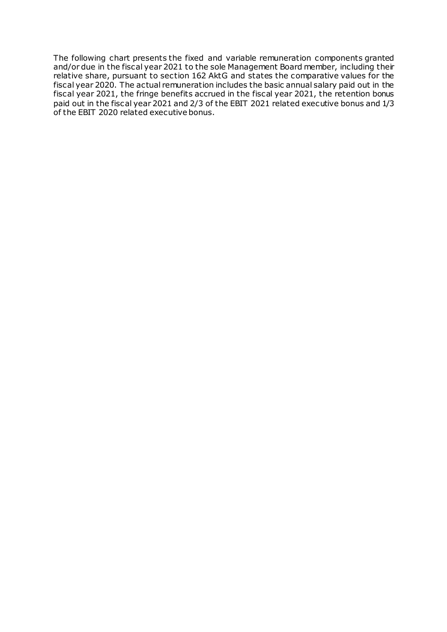The following chart presents the fixed and variable remuneration components granted and/or due in the fiscal year 2021 to the sole Management Board member, including their relative share, pursuant to section 162 AktG and states the comparative values for the fiscal year 2020. The actual remuneration includes the basic annual salary paid out in the fiscal year 2021, the fringe benefits accrued in the fiscal year 2021, the retention bonus paid out in the fiscal year 2021 and 2/3 of the EBIT 2021 related executive bonus and 1/3 of the EBIT 2020 related executive bonus.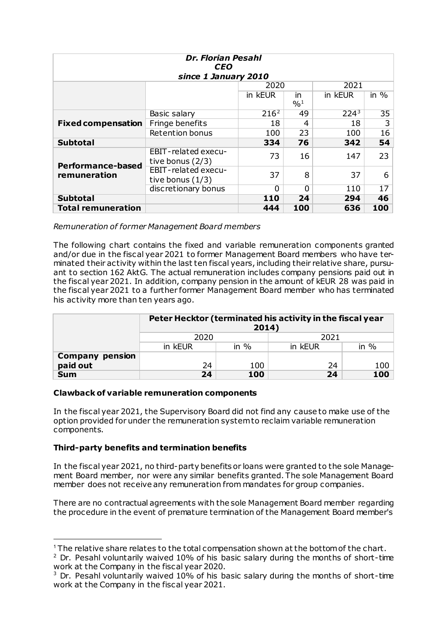| <b>Dr. Florian Pesahl</b><br><b>CEO</b>  |                                           |                  |                 |         |                  |
|------------------------------------------|-------------------------------------------|------------------|-----------------|---------|------------------|
|                                          | since 1 January 2010                      |                  |                 |         |                  |
|                                          |                                           | 2020             |                 | 2021    |                  |
|                                          |                                           | in kEUR          | in.             | in kEUR | in $\frac{9}{6}$ |
|                                          |                                           |                  | $^{0}/_{0}^{1}$ |         |                  |
|                                          | Basic salary                              | 216 <sup>2</sup> | 49              | $224^3$ | 35               |
| <b>Fixed compensation</b>                | Fringe benefits                           | 18               | 4               | 18      | 3                |
|                                          | <b>Retention bonus</b>                    | 100              | 23              | 100     | 16               |
| <b>Subtotal</b>                          |                                           | 334              | 76              | 342     | 54               |
| <b>Performance-based</b><br>remuneration | EBIT-related execu-<br>tive bonus (2/3)   | 73               | 16              | 147     | 23               |
|                                          | EBIT-related execu-<br>tive bonus $(1/3)$ | 37               | 8               | 37      | 6                |
|                                          | discretionary bonus                       | n                | 0               | 110     | 17               |
| <b>Subtotal</b>                          |                                           | 110              | 24              | 294     | 46               |
| <b>Total remuneration</b>                |                                           | 444              | 100             | 636     | 100              |

*Remuneration of former Management Board members*

The following chart contains the fixed and variable remuneration components granted and/or due in the fiscal year 2021 to former Management Board members who have terminated their activity within the last ten fiscal years, including their relative share, pursuant to section 162 AktG. The actual remuneration includes company pensions paid out in the fiscal year 2021. In addition, company pension in the amount of kEUR 28 was paid in the fiscal year 2021 to a further former Management Board member who has terminated his activity more than ten years ago.

|                        | Peter Hecktor (terminated his activity in the fiscal year<br>2014) |        |         |         |
|------------------------|--------------------------------------------------------------------|--------|---------|---------|
|                        | 2021<br>2020                                                       |        |         |         |
|                        | in kEUR                                                            | in $%$ | in kEUR | in $\%$ |
| <b>Company pension</b> |                                                                    |        |         |         |
| paid out               | 24                                                                 | 100    | 24      | 100     |
| <b>Sum</b>             | 24                                                                 | 100    | 24      | 100     |

# **Clawback of variable remuneration components**

In the fiscal year 2021, the Supervisory Board did not find any cause to make use of the option provided for under the remuneration system to reclaim variable remuneration components.

# **Third-party benefits and termination benefits**

-

In the fiscal year 2021, no third-party benefits or loans were granted to the sole Management Board member, nor were any similar benefits granted. The sole Management Board member does not receive any remuneration from mandates for group companies.

There are no contractual agreements with the sole Management Board member regarding the procedure in the event of premature termination of the Management Board member's

<span id="page-7-0"></span><sup>&</sup>lt;sup>1</sup> The relative share relates to the total compensation shown at the bottom of the chart.

<span id="page-7-1"></span> $2$  Dr. Pesahl voluntarily waived 10% of his basic salary during the months of short-time work at the Company in the fiscal year 2020.

<span id="page-7-2"></span> $3$  Dr. Pesahl voluntarily waived 10% of his basic salary during the months of short-time work at the Company in the fiscal year 2021.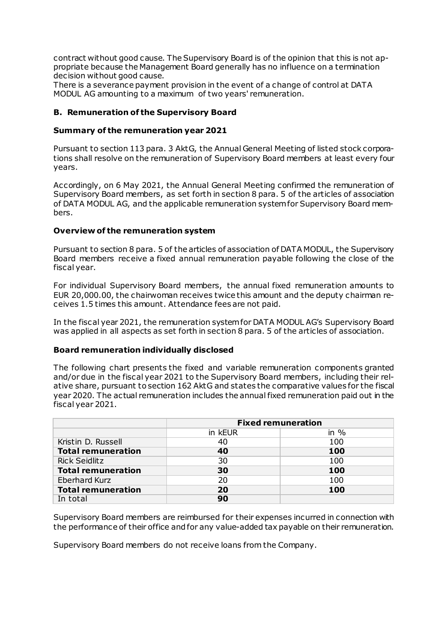contract without good cause. The Supervisory Board is of the opinion that this is not appropriate because the Management Board generally has no influence on a termination decision without good cause.

There is a severance payment provision in the event of a change of control at DATA MODUL AG amounting to a maximum of two years' remuneration.

### **B. Remuneration of the Supervisory Board**

### **Summary of the remuneration year 2021**

Pursuant to section 113 para. 3 AktG, the Annual General Meeting of listed stock corporations shall resolve on the remuneration of Supervisory Board members at least every four years.

Accordingly, on 6 May 2021, the Annual General Meeting confirmed the remuneration of Supervisory Board members, as set forth in section 8 para. 5 of the articles of association of DATA MODUL AG, and the applicable remuneration system for Supervisory Board members.

### **Overview of the remuneration system**

Pursuant to section 8 para. 5 of the articles of association of DATA MODUL, the Supervisory Board members receive a fixed annual remuneration payable following the close of the fiscal year.

For individual Supervisory Board members, the annual fixed remuneration amounts to EUR 20,000.00, the chairwoman receives twice this amount and the deputy chairman receives 1.5 times this amount. Attendance fees are not paid.

In the fiscal year 2021, the remuneration system for DATA MODUL AG's Supervisory Board was applied in all aspects as set forth in section 8 para. 5 of the articles of association.

#### **Board remuneration individually disclosed**

The following chart presents the fixed and variable remuneration components granted and/or due in the fiscal year 2021 to the Supervisory Board members, including their relative share, pursuant to section 162 AktG and states the comparative values for the fiscal year 2020. The actual remuneration includes the annual fixed remuneration paid out in the fiscal year 2021.

|                           | <b>Fixed remuneration</b> |         |  |
|---------------------------|---------------------------|---------|--|
|                           | in kEUR                   | in $\%$ |  |
| Kristin D. Russell        | 40                        | 100     |  |
| <b>Total remuneration</b> | 40                        | 100     |  |
| <b>Rick Seidlitz</b>      | 30                        | 100     |  |
| <b>Total remuneration</b> | 30                        | 100     |  |
| Eberhard Kurz             | 20                        | 100     |  |
| <b>Total remuneration</b> | 20                        | 100     |  |
| In total                  | 90                        |         |  |

Supervisory Board members are reimbursed for their expenses incurred in connection with the performance of their office and for any value-added tax payable on their remuneration.

Supervisory Board members do not receive loans from the Company.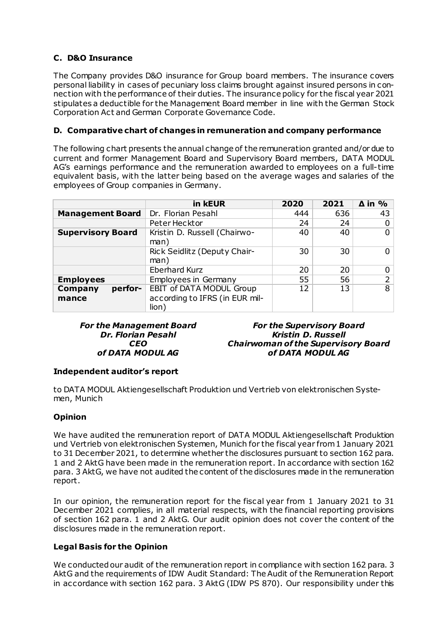# **C. D&O Insurance**

The Company provides D&O insurance for Group board members. The insurance covers personal liability in cases of pecuniary loss claims brought against insured persons in connection with the performance of their duties. The insurance policy for the fiscal year 2021 stipulates a deductible for the Management Board member in line with the German Stock Corporation Act and German Corporate Governance Code.

### **D. Comparative chart of changes in remuneration and company performance**

The following chart presents the annual change of the remuneration granted and/or due to current and former Management Board and Supervisory Board members, DATA MODUL AG's earnings performance and the remuneration awarded to employees on a full-time equivalent basis, with the latter being based on the average wages and salaries of the employees of Group companies in Germany.

|                          | in kEUR                                 | 2020 | 2021 | $\Delta$ in % |
|--------------------------|-----------------------------------------|------|------|---------------|
| <b>Management Board</b>  | Dr. Florian Pesahl                      | 444  | 636  | 43            |
|                          | Peter Hecktor                           | 24   | 24   | 0             |
| <b>Supervisory Board</b> | Kristin D. Russell (Chairwo-<br>man)    | 40   | 40   | 0             |
|                          | Rick Seidlitz (Deputy Chair-<br>man)    | 30   | 30   | ი             |
|                          | <b>Eberhard Kurz</b>                    | 20   | 20   | 0             |
| <b>Employees</b>         | Employees in Germany                    | 55   | 56   | 2             |
| Company<br>perfor-       | <b>EBIT of DATA MODUL Group</b>         | 12   | 13   | 8             |
| mance                    | according to IFRS (in EUR mil-<br>lion) |      |      |               |

#### *For the Management Board Dr. Florian Pesahl CEO of DATA MODUL AG*

*For the Supervisory Board Kristin D. Russell Chairwoman of the Supervisory Board of DATA MODUL AG*

### **Independent auditor's report**

to DATA MODUL Aktiengesellschaft Produktion und Vertrieb von elektronischen Systemen, Munich

# **Opinion**

We have audited the remuneration report of DATA MODUL Aktiengesellschaft Produktion und Vertrieb von elektronischen Systemen, Munich for the fiscal year from 1 January 2021 to 31 December 2021, to determine whether the disclosures pursuant to section 162 para. 1 and 2 AktG have been made in the remuneration report. In accordance with section 162 para. 3 AktG, we have not audited the content of the disclosures made in the remuneration report.

In our opinion, the remuneration report for the fiscal year from 1 January 2021 to 31 December 2021 complies, in all material respects, with the financial reporting provisions of section 162 para. 1 and 2 AktG. Our audit opinion does not cover the content of the disclosures made in the remuneration report.

### **Legal Basis for the Opinion**

We conducted our audit of the remuneration report in compliance with section 162 para. 3 AktG and the requirements of IDW Audit Standard: The Audit of the Remuneration Report in accordance with section 162 para. 3 AktG (IDW PS 870). Our responsibility under this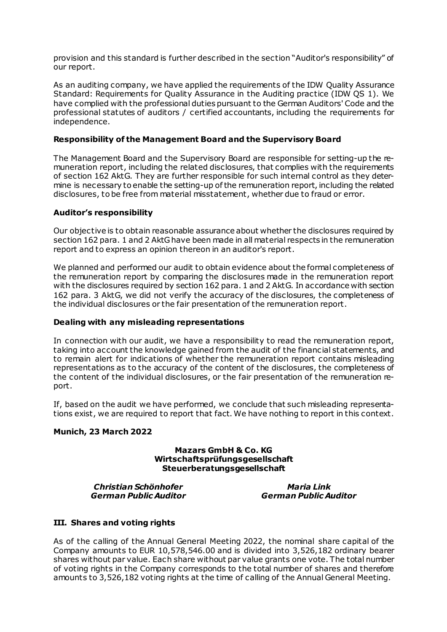provision and this standard is further described in the section "Auditor's responsibility" of our report.

As an auditing company, we have applied the requirements of the IDW Quality Assurance Standard: Requirements for Quality Assurance in the Auditing practice (IDW QS 1). We have complied with the professional duties pursuant to the German Auditors' Code and the professional statutes of auditors / certified accountants, including the requirements for independence.

### **Responsibility of the Management Board and the Supervisory Board**

The Management Board and the Supervisory Board are responsible for setting-up the remuneration report, including the related disclosures, that complies with the requirements of section 162 AktG. They are further responsible for such internal control as they determine is necessary to enable the setting-up of the remuneration report, including the related disclosures, to be free from material misstatement, whether due to fraud or error.

#### **Auditor's responsibility**

Our objective is to obtain reasonable assurance about whether the disclosures required by section 162 para. 1 and 2 AktGhave been made in all material respects in the remuneration report and to express an opinion thereon in an auditor's report.

We planned and performed our audit to obtain evidence about the formal completeness of the remuneration report by comparing the disclosures made in the remuneration report with the disclosures required by section 162 para. 1 and 2 AktG. In accordance with section 162 para. 3 AktG, we did not verify the accuracy of the disclosures, the completeness of the individual disclosures or the fair presentation of the remuneration report.

#### **Dealing with any misleading representations**

In connection with our audit, we have a responsibility to read the remuneration report, taking into account the knowledge gained from the audit of the financial statements, and to remain alert for indications of whether the remuneration report contains misleading representations as to the accuracy of the content of the disclosures, the completeness of the content of the individual disclosures, or the fair presentation of the remuneration report.

If, based on the audit we have performed, we conclude that such misleading representations exist, we are required to report that fact. We have nothing to report in this context.

#### **Munich, 23 March 2022**

#### **Mazars GmbH & Co. KG Wirtschaftsprüfungsgesellschaft Steuerberatungsgesellschaft**

*Christian Schönhofer German Public Auditor*

*Maria Link German Public Auditor*

### **III. Shares and voting rights**

As of the calling of the Annual General Meeting 2022, the nominal share capital of the Company amounts to EUR 10,578,546.00 and is divided into 3,526,182 ordinary bearer shares without par value. Each share without par value grants one vote. The total number of voting rights in the Company corresponds to the total number of shares and therefore amounts to 3,526,182 voting rights at the time of calling of the Annual General Meeting.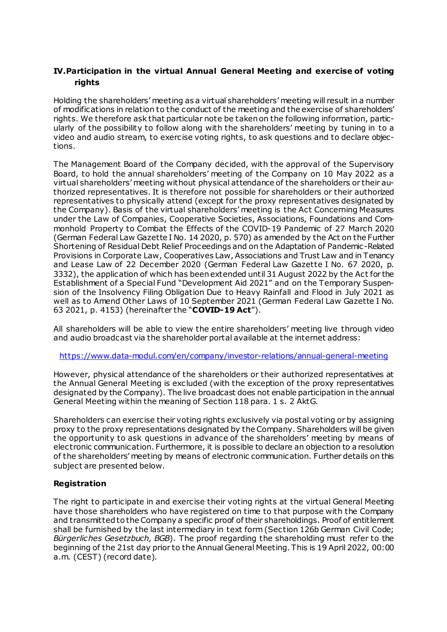# **IV.Participation in the virtual Annual General Meeting and exercise of voting rights**

Holding the shareholders' meeting as a virtual shareholders' meeting will result in a number of modifications in relation to the conduct of the meeting and the exercise of shareholders' rights. We therefore ask that particular note be taken on the following information, particularly of the possibility to follow along with the shareholders' meeting by tuning in to a video and audio stream, to exercise voting rights, to ask questions and to declare objections.

The Management Board of the Company decided, with the approval of the Supervisory Board, to hold the annual shareholders' meeting of the Company on 10 May 2022 as a virtual shareholders' meeting without physical attendance of the shareholders or their authorized representatives. It is therefore not possible for shareholders or their authorized representatives to physically attend (except for the proxy representatives designated by the Company). Basis of the virtual shareholders' meeting is the Act Concerning Measures under the Law of Companies, Cooperative Societies, Associations, Foundations and Commonhold Property to Combat the Effects of the COVID-19 Pandemic of 27 March 2020 (German Federal Law Gazette I No. 14 2020, p. 570) as amended by the Act on the Further Shortening of Residual Debt Relief Proceedings and on the Adaptation of Pandemic-Related Provisions in Corporate Law, Cooperatives Law, Associations and Trust Law and in Tenancy and Lease Law of 22 December 2020 (German Federal Law Gazette I No. 67 2020, p. 3332), the application of which has been extended until 31 August 2022 by the Act for the Establishment of a Special Fund "Development Aid 2021" and on the Temporary Suspension of the Insolvency Filing Obligation Due to Heavy Rainfall and Flood in July 2021 as well as to Amend Other Laws of 10 September 2021 (German Federal Law Gazette I No. 63 2021, p. 4153) (hereinafter the "**COVID-19 Act**").

All shareholders will be able to view the entire shareholders' meeting live through video and audio broadcast via the shareholder portal available at the internet address:

<https://www.data-modul.com/en/company/investor-relations/annual-general-meeting>

However, physical attendance of the shareholders or their authorized representatives at the Annual General Meeting is excluded (with the exception of the proxy representatives designated by the Company). The live broadcast does not enable participation in the annual General Meeting within the meaning of Section 118 para. 1 s. 2 AktG.

Shareholders can exercise their voting rights exclusively via postal voting or by assigning proxy to the proxy representations designated by the Company. Shareholders will be given the opportunity to ask questions in advance of the shareholders' meeting by means of electronic communication. Furthermore, it is possible to declare an objection to a resolution of the shareholders' meeting by means of electronic communication. Further details on this subject are presented below.

### **Registration**

The right to participate in and exercise their voting rights at the virtual General Meeting have those shareholders who have registered on time to that purpose with the Company and transmittedto the Company a specific proof of their shareholdings. Proof of entitlement shall be furnished by the last intermediary in text form (Section 126b German Civil Code; *Bürgerliches Gesetzbuch, BGB*). The proof regarding the shareholding must refer to the beginning of the 21st day prior to the Annual General Meeting. This is 19 April 2022, 00:00 a.m. (CEST) (record date).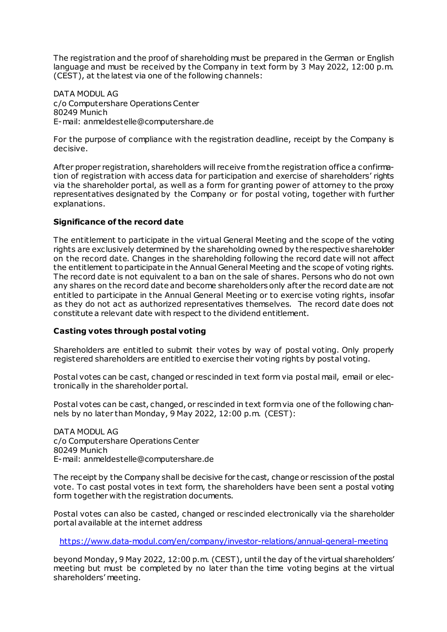The registration and the proof of shareholding must be prepared in the German or English language and must be received by the Company in text form by 3 May 2022, 12:00 p.m. (CEST), at the latest via one of the following channels:

DATA MODUL AG c/o Computershare Operations Center 80249 Munich E-mail: anmeldestelle@computershare.de

For the purpose of compliance with the registration deadline, receipt by the Company is decisive.

After proper registration, shareholders will receive from the registration office a confirmation of registration with access data for participation and exercise of shareholders' rights via the shareholder portal, as well as a form for granting power of attorney to the proxy representatives designated by the Company or for postal voting, together with further explanations.

### **Significance of the record date**

The entitlement to participate in the virtual General Meeting and the scope of the voting rights are exclusively determined by the shareholding owned by the respective shareholder on the record date. Changes in the shareholding following the record date will not affect the entitlement to participate in the Annual General Meeting and the scope of voting rights. The record date is not equivalent to a ban on the sale of shares. Persons who do not own any shares on the record date and become shareholders only after the record date are not entitled to participate in the Annual General Meeting or to exercise voting rights, insofar as they do not act as authorized representatives themselves. The record date does not constitute a relevant date with respect to the dividend entitlement.

### **Casting votes through postal voting**

Shareholders are entitled to submit their votes by way of postal voting. Only properly registered shareholders are entitled to exercise their voting rights by postal voting.

Postal votes can be cast, changed or rescinded in text form via postal mail, email or electronically in the shareholder portal.

Postal votes can be cast, changed, or rescinded in text form via one of the following channels by no later than Monday, 9 May 2022, 12:00 p.m. (CEST):

DATA MODUL AG c/o Computershare Operations Center 80249 Munich E-mail: anmeldestelle@computershare.de

The receipt by the Company shall be decisive for the cast, change or rescission of the postal vote. To cast postal votes in text form, the shareholders have been sent a postal voting form together with the registration documents.

Postal votes can also be casted, changed or rescinded electronically via the shareholder portal available at the internet address

<https://www.data-modul.com/en/company/investor-relations/annual-general-meeting>

beyond Monday, 9 May 2022, 12:00 p.m. (CEST), until the day of the virtual shareholders' meeting but must be completed by no later than the time voting begins at the virtual shareholders' meeting.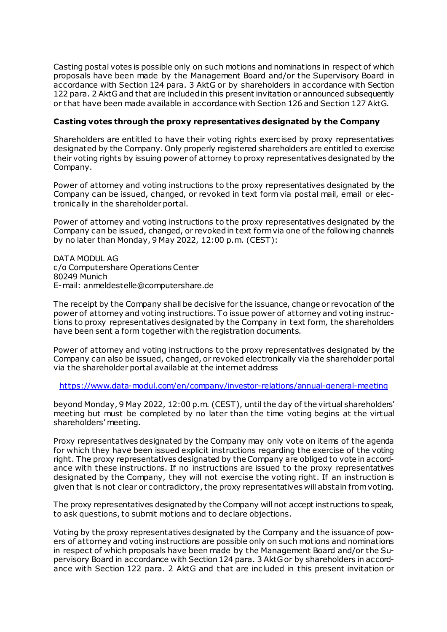Casting postal votes is possible only on such motions and nominations in respect of which proposals have been made by the Management Board and/or the Supervisory Board in accordance with Section 124 para. 3 AktG or by shareholders in accordance with Section 122 para. 2 AktG and that are included in this present invitation or announced subsequently or that have been made available in accordance with Section 126 and Section 127 AktG.

#### **Casting votes through the proxy representatives designated by the Company**

Shareholders are entitled to have their voting rights exercised by proxy representatives designated by the Company. Only properly registered shareholders are entitled to exercise their voting rights by issuing power of attorney to proxy representatives designated by the Company.

Power of attorney and voting instructions to the proxy representatives designated by the Company can be issued, changed, or revoked in text form via postal mail, email or electronically in the shareholder portal.

Power of attorney and voting instructions to the proxy representatives designated by the Company can be issued, changed, or revoked in text form via one of the following channels by no later than Monday, 9 May 2022, 12:00 p.m. (CEST):

DATA MODUL AG c/o Computershare Operations Center 80249 Munich E-mail: anmeldestelle@computershare.de

The receipt by the Company shall be decisive for the issuance, change or revocation of the power of attorney and voting instructions. To issue power of attorney and voting instructions to proxy representatives designated by the Company in text form, the shareholders have been sent a form together with the registration documents.

Power of attorney and voting instructions to the proxy representatives designated by the Company can also be issued, changed, or revoked electronically via the shareholder portal via the shareholder portal available at the internet address

<https://www.data-modul.com/en/company/investor-relations/annual-general-meeting>

beyond Monday, 9 May 2022, 12:00 p.m. (CEST), until the day of the virtual shareholders' meeting but must be completed by no later than the time voting begins at the virtual shareholders' meeting.

Proxy representatives designated by the Company may only vote on items of the agenda for which they have been issued explicit instructions regarding the exercise of the voting right. The proxy representatives designated by the Company are obliged to vote in accordance with these instructions. If no instructions are issued to the proxy representatives designated by the Company, they will not exercise the voting right. If an instruction is given that is not clear or contradictory, the proxy representatives will abstain from voting.

The proxy representatives designated by the Company will not accept instructions to speak, to ask questions, to submit motions and to declare objections.

Voting by the proxy representatives designated by the Company and the issuance of powers of attorney and voting instructions are possible only on such motions and nominations in respect of which proposals have been made by the Management Board and/or the Supervisory Board in accordance with Section 124 para. 3 AktG or by shareholders in accordance with Section 122 para. 2 AktG and that are included in this present invitation or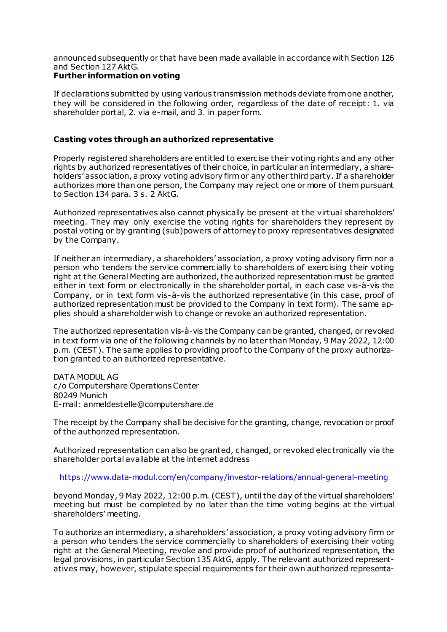announced subsequently or that have been made available in accordance with Section 126 and Section 127 AktG.

### **Further information on voting**

If declarations submitted by using various transmission methods deviate from one another, they will be considered in the following order, regardless of the date of receipt: 1. via shareholder portal, 2. via e-mail, and 3. in paper form.

### **Casting votes through an authorized representative**

Properly registered shareholders are entitled to exercise their voting rights and any other rights by authorized representatives of their choice, in particular an intermediary, a shareholders' association, a proxy voting advisory firm or any other third party. If a shareholder authorizes more than one person, the Company may reject one or more of them pursuant to Section 134 para. 3 s. 2 AktG.

Authorized representatives also cannot physically be present at the virtual shareholders' meeting. They may only exercise the voting rights for shareholders they represent by postal voting or by granting (sub)powers of attorney to proxy representatives designated by the Company.

If neither an intermediary, a shareholders' association, a proxy voting advisory firm nor a person who tenders the service commercially to shareholders of exercising their voting right at the General Meeting are authorized, the authorized representation must be granted either in text form or electronically in the shareholder portal, in each case vis-à-vis the Company, or in text form vis-à-vis the authorized representative (in this case, proof of authorized representation must be provided to the Company in text form). The same applies should a shareholder wish to change or revoke an authorized representation.

The authorized representation vis-à-vis the Company can be granted, changed, or revoked in text form via one of the following channels by no later than Monday, 9 May 2022, 12:00 p.m. (CEST). The same applies to providing proof to the Company of the proxy authorization granted to an authorized representative.

DATA MODUL AG c/o Computershare Operations Center 80249 Munich E-mail: anmeldestelle@computershare.de

The receipt by the Company shall be decisive for the granting, change, revocation or proof of the authorized representation.

Authorized representation can also be granted, changed, or revoked electronically via the shareholder portal available at the internet address

<https://www.data-modul.com/en/company/investor-relations/annual-general-meeting>

beyond Monday, 9 May 2022, 12:00 p.m. (CEST), until the day of the virtual shareholders' meeting but must be completed by no later than the time voting begins at the virtual shareholders' meeting.

To authorize an intermediary, a shareholders' association, a proxy voting advisory firm or a person who tenders the service commercially to shareholders of exercising their voting right at the General Meeting, revoke and provide proof of authorized representation, the legal provisions, in particular Section 135 AktG, apply. The relevant authorized representatives may, however, stipulate special requirements for their own authorized representa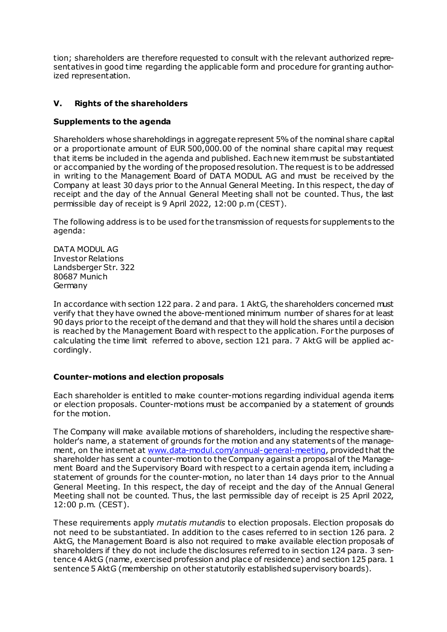tion; shareholders are therefore requested to consult with the relevant authorized representatives in good time regarding the applicable form and procedure for granting authorized representation.

## **V. Rights of the shareholders**

### **Supplements to the agenda**

Shareholders whose shareholdings in aggregate represent 5% of the nominal share capital or a proportionate amount of EUR 500,000.00 of the nominal share capital may request that items be included in the agenda and published. Each new item must be substantiated or accompanied by the wording of the proposed resolution. The request is to be addressed in writing to the Management Board of DATA MODUL AG and must be received by the Company at least 30 days prior to the Annual General Meeting. In this respect, the day of receipt and the day of the Annual General Meeting shall not be counted. Thus, the last permissible day of receipt is 9 April 2022, 12:00 p.m (CEST).

The following address is to be used for the transmission of requests for supplements to the agenda:

DATA MODUL AG Investor Relations Landsberger Str. 322 80687 Munich Germany

In accordance with section 122 para. 2 and para. 1 AktG, the shareholders concerned must verify that they have owned the above-mentioned minimum number of shares for at least 90 days prior to the receipt of the demand and that they will hold the shares until a decision is reached by the Management Board with respect to the application. For the purposes of calculating the time limit referred to above, section 121 para. 7 AktG will be applied accordingly.

### **Counter-motions and election proposals**

Each shareholder is entitled to make counter-motions regarding individual agenda items or election proposals. Counter-motions must be accompanied by a statement of grounds for the motion.

The Company will make available motions of shareholders, including the respective shareholder's name, a statement of grounds for the motion and any statements of the management, on the internet at [www.data-modul.com/annual-general-meeting](http://www.data-modul.com/annual-general-meeting), provided that the shareholder has sent a counter-motion to the Company against a proposal of the Management Board and the Supervisory Board with respect to a certain agenda item, including a statement of grounds for the counter-motion, no later than 14 days prior to the Annual General Meeting. In this respect, the day of receipt and the day of the Annual General Meeting shall not be counted. Thus, the last permissible day of receipt is 25 April 2022, 12:00 p.m. (CEST).

These requirements apply *mutatis mutandis* to election proposals. Election proposals do not need to be substantiated. In addition to the cases referred to in section 126 para. 2 AktG, the Management Board is also not required to make available election proposals of shareholders if they do not include the disclosures referred to in section 124 para. 3 sentence 4 AktG (name, exercised profession and place of residence) and section 125 para. 1 sentence 5 AktG (membership on other statutorily established supervisory boards).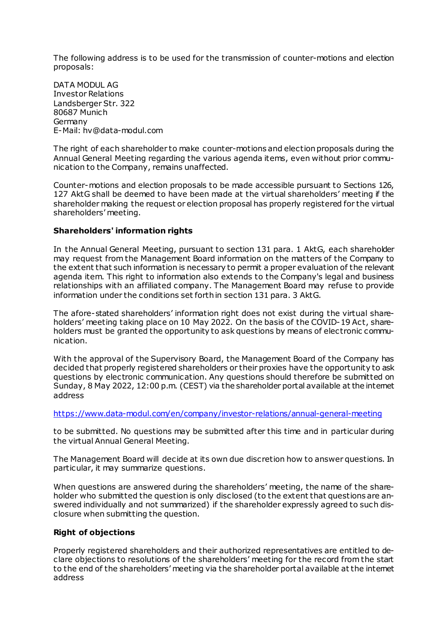The following address is to be used for the transmission of counter-motions and election proposals:

DATA MODUL AG Investor Relations Landsberger Str. 322 80687 Munich Germany E-Mail: hv@data-modul.com

The right of each shareholder to make counter-motions and election proposals during the Annual General Meeting regarding the various agenda items, even without prior communication to the Company, remains unaffected.

Counter-motions and election proposals to be made accessible pursuant to Sections 126, 127 AktG shall be deemed to have been made at the virtual shareholders' meeting if the shareholder making the request or election proposal has properly registered for the virtual shareholders' meeting.

#### **Shareholders' information rights**

In the Annual General Meeting, pursuant to section 131 para. 1 AktG, each shareholder may request from the Management Board information on the matters of the Company to the extent that such information is necessary to permit a proper evaluation of the relevant agenda item. This right to information also extends to the Company's legal and business relationships with an affiliated company. The Management Board may refuse to provide information under the conditions set forth in section 131 para. 3 AktG.

The afore-stated shareholders' information right does not exist during the virtual shareholders' meeting taking place on 10 May 2022. On the basis of the COVID-19 Act, shareholders must be granted the opportunity to ask questions by means of electronic communication.

With the approval of the Supervisory Board, the Management Board of the Company has decided that properly registered shareholders or their proxies have the opportunity to ask questions by electronic communication. Any questions should therefore be submitted on Sunday, 8 May 2022, 12:00 p.m. (CEST) via the shareholder portal available at the internet address

<https://www.data-modul.com/en/company/investor-relations/annual-general-meeting>

to be submitted. No questions may be submitted after this time and in particular during the virtual Annual General Meeting.

The Management Board will decide at its own due discretion how to answer questions. In particular, it may summarize questions.

When questions are answered during the shareholders' meeting, the name of the shareholder who submitted the question is only disclosed (to the extent that questions are answered individually and not summarized) if the shareholder expressly agreed to such disclosure when submitting the question.

#### **Right of objections**

Properly registered shareholders and their authorized representatives are entitled to declare objections to resolutions of the shareholders' meeting for the record from the start to the end of the shareholders' meeting via the shareholder portal available at the internet address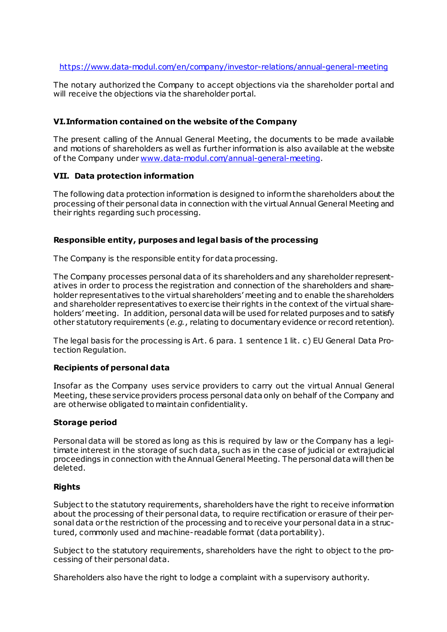#### <https://www.data-modul.com/en/company/investor-relations/annual-general-meeting>

The notary authorized the Company to accept objections via the shareholder portal and will receive the objections via the shareholder portal.

### **VI.Information contained on the website of the Company**

The present calling of the Annual General Meeting, the documents to be made available and motions of shareholders as well as further information is also available at the website of the Company unde[r www.data-modul.com/annual-general-meeting](http://www.data-modul.com/annual-general-meeting).

#### **VII. Data protection information**

The following data protection information is designed to inform the shareholders about the processing of their personal data in connection with the virtual Annual General Meeting and their rights regarding such processing.

#### **Responsible entity, purposes and legal basis of the processing**

The Company is the responsible entity for data processing.

The Company processes personal data of its shareholders and any shareholder representatives in order to process the registration and connection of the shareholders and shareholder representatives to the virtual shareholders' meeting and to enable the shareholders and shareholder representatives to exercise their rights in the context of the virtual shareholders' meeting. In addition, personal data will be used for related purposes and to satisfy other statutory requirements (*e.g.*, relating to documentary evidence or record retention).

The legal basis for the processing is Art. 6 para. 1 sentence 1 lit. c) EU General Data Protection Regulation.

### **Recipients of personal data**

Insofar as the Company uses service providers to carry out the virtual Annual General Meeting, these service providers process personal data only on behalf of the Company and are otherwise obligated to maintain confidentiality.

#### **Storage period**

Personal data will be stored as long as this is required by law or the Company has a legitimate interest in the storage of such data, such as in the case of judicial or extrajudicial proceedings in connection with the Annual General Meeting. The personal data will then be deleted.

#### **Rights**

Subject to the statutory requirements, shareholders have the right to receive information about the processing of their personal data, to require rectification or erasure of their personal data or the restriction of the processing and to receive your personal data in a structured, commonly used and machine-readable format (data portability).

Subject to the statutory requirements, shareholders have the right to object to the processing of their personal data.

Shareholders also have the right to lodge a complaint with a supervisory authority.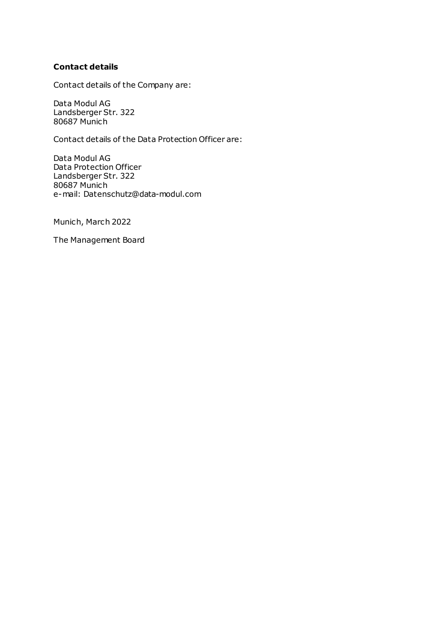### **Contact details**

Contact details of the Company are:

Data Modul AG Landsberger Str. 322 80687 Munich

Contact details of the Data Protection Officer are:

Data Modul AG Data Protection Officer Landsberger Str. 322 80687 Munich e-mail: Datenschutz@data-modul.com

Munich, March 2022

The Management Board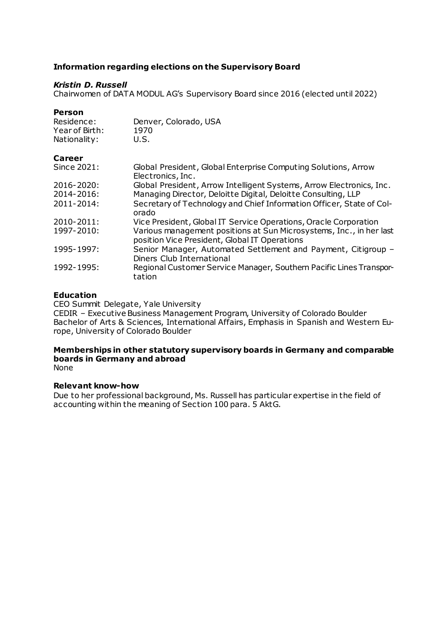### **Information regarding elections on the Supervisory Board**

### *Kristin D. Russell*

Chairwomen of DATA MODUL AG's Supervisory Board since 2016 (elected until 2022)

#### **Person**

| Residence:<br>Year of Birth:<br>Nationality: | Denver, Colorado, USA<br>1970<br>U.S.                                                                                |
|----------------------------------------------|----------------------------------------------------------------------------------------------------------------------|
| Career                                       |                                                                                                                      |
| Since 2021:                                  | Global President, Global Enterprise Computing Solutions, Arrow<br>Electronics, Inc.                                  |
| $2016 - 2020$ :                              | Global President, Arrow Intelligent Systems, Arrow Electronics, Inc.                                                 |
| 2014-2016:                                   | Managing Director, Deloitte Digital, Deloitte Consulting, LLP                                                        |
| 2011-2014:                                   | Secretary of Technology and Chief Information Officer, State of Col-<br>orado                                        |
| 2010-2011:                                   | Vice President, Global IT Service Operations, Oracle Corporation                                                     |
| 1997-2010:                                   | Various management positions at Sun Microsystems, Inc., in her last<br>position Vice President, Global IT Operations |
| 1995-1997:                                   | Senior Manager, Automated Settlement and Payment, Citigroup -<br>Diners Club International                           |
| 1992-1995:                                   | Regional Customer Service Manager, Southern Pacific Lines Transpor-<br>tation                                        |

### **Education**

CEO Summit Delegate, Yale University

CEDIR – Executive Business Management Program, University of Colorado Boulder Bachelor of Arts & Sciences, International Affairs, Emphasis in Spanish and Western Europe, University of Colorado Boulder

# **Memberships in other statutory supervisory boards in Germany and comparable boards in Germany and abroad**

None

### **Relevant know-how**

Due to her professional background, Ms. Russell has particular expertise in the field of accounting within the meaning of Section 100 para. 5 AktG.